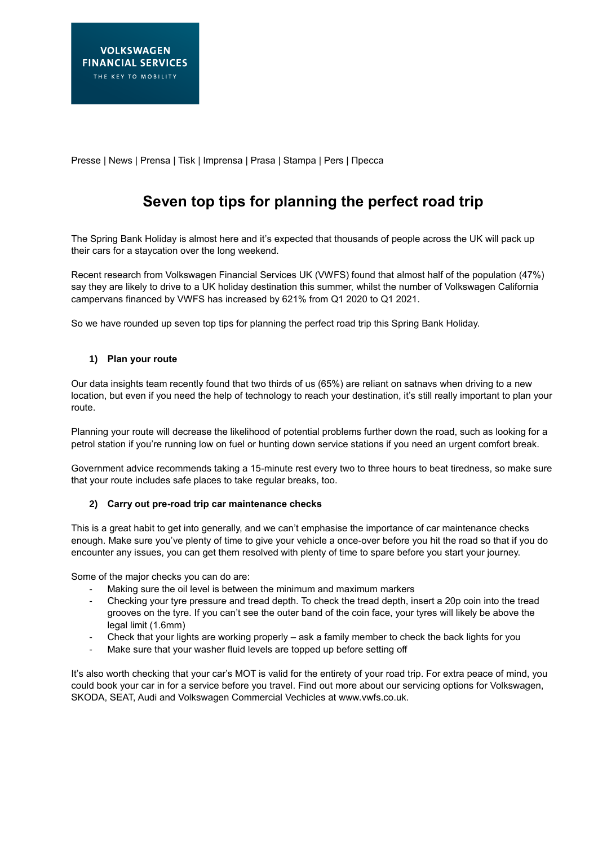Presse | News | Prensa | Tisk | Imprensa | Prasa | Stampa | Pers | Пресса

# **Seven top tips for planning the perfect road trip**

The Spring Bank Holiday is almost here and it's expected that thousands of people across the UK will pack up their cars for a staycation over the long weekend.

Recent research from Volkswagen Financial Services UK (VWFS) found that almost half of the population (47%) say they are likely to drive to a UK holiday destination this summer, whilst the number of Volkswagen California campervans financed by VWFS has increased by 621% from Q1 2020 to Q1 2021.

So we have rounded up seven top tips for planning the perfect road trip this Spring Bank Holiday.

## **1) Plan your route**

Our data insights team recently found that two thirds of us (65%) are reliant on satnavs when driving to a new location, but even if you need the help of technology to reach your destination, it's still really important to plan your route.

Planning your route will decrease the likelihood of potential problems further down the road, such as looking for a petrol station if you're running low on fuel or hunting down service stations if you need an urgent comfort break.

Government advice recommends taking a 15-minute rest every two to three hours to beat tiredness, so make sure that your route includes safe places to take regular breaks, too.

### **2) Carry out pre-road trip car maintenance checks**

This is a great habit to get into generally, and we can't emphasise the importance of car maintenance checks enough. Make sure you've plenty of time to give your vehicle a once-over before you hit the road so that if you do encounter any issues, you can get them resolved with plenty of time to spare before you start your journey.

Some of the major checks you can do are:

- Making sure the oil level is between the minimum and maximum markers
- Checking your tyre pressure and tread depth. To check the tread depth, insert a 20p coin into the tread grooves on the tyre. If you can't see the outer band of the coin face, your tyres will likely be above the legal limit (1.6mm)
- Check that your lights are working properly ask a family member to check the back lights for you
- Make sure that your washer fluid levels are topped up before setting off

It's also worth checking that your car's MOT is valid for the entirety of your road trip. For extra peace of mind, you could book your car in for a service before you travel. Find out more about our servicing options for Volkswagen, SKODA, SEAT, Audi and Volkswagen Commercial Vechicles at www.vwfs.co.uk.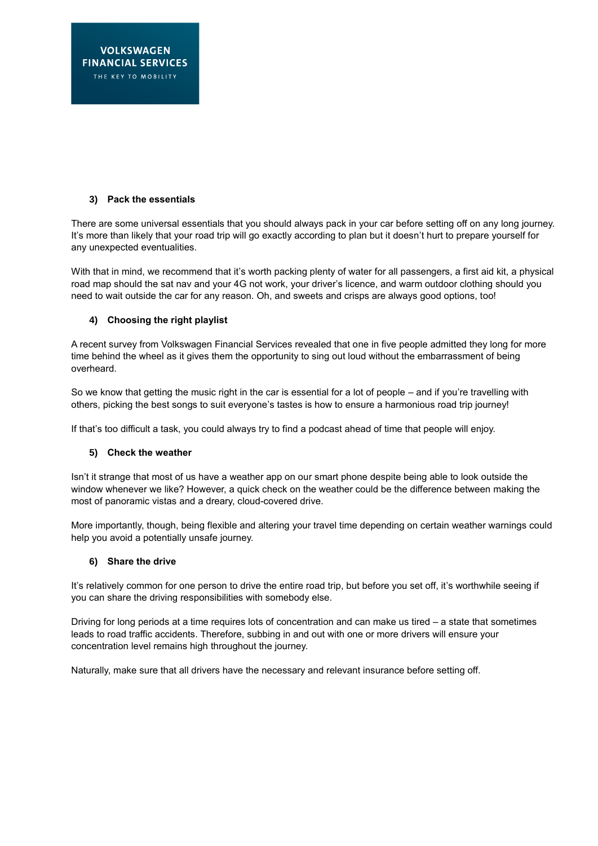# **3) Pack the essentials**

There are some universal essentials that you should always pack in your car before setting off on any long journey. It's more than likely that your road trip will go exactly according to plan but it doesn't hurt to prepare yourself for any unexpected eventualities.

With that in mind, we recommend that it's worth packing plenty of water for all passengers, a first aid kit, a physical road map should the sat nav and your 4G not work, your driver's licence, and warm outdoor clothing should you need to wait outside the car for any reason. Oh, and sweets and crisps are always good options, too!

### **4) Choosing the right playlist**

A recent survey from Volkswagen Financial Services revealed that one in five people admitted they long for more time behind the wheel as it gives them the opportunity to sing out loud without the embarrassment of being overheard.

So we know that getting the music right in the car is essential for a lot of people – and if you're travelling with others, picking the best songs to suit everyone's tastes is how to ensure a harmonious road trip journey!

If that's too difficult a task, you could always try to find a podcast ahead of time that people will enjoy.

### **5) Check the weather**

Isn't it strange that most of us have a weather app on our smart phone despite being able to look outside the window whenever we like? However, a quick check on the weather could be the difference between making the most of panoramic vistas and a dreary, cloud-covered drive.

More importantly, though, being flexible and altering your travel time depending on certain weather warnings could help you avoid a potentially unsafe journey.

### **6) Share the drive**

It's relatively common for one person to drive the entire road trip, but before you set off, it's worthwhile seeing if you can share the driving responsibilities with somebody else.

Driving for long periods at a time requires lots of concentration and can make us tired – a state that sometimes leads to road traffic accidents. Therefore, subbing in and out with one or more drivers will ensure your concentration level remains high throughout the journey.

Naturally, make sure that all drivers have the necessary and relevant insurance before setting off.